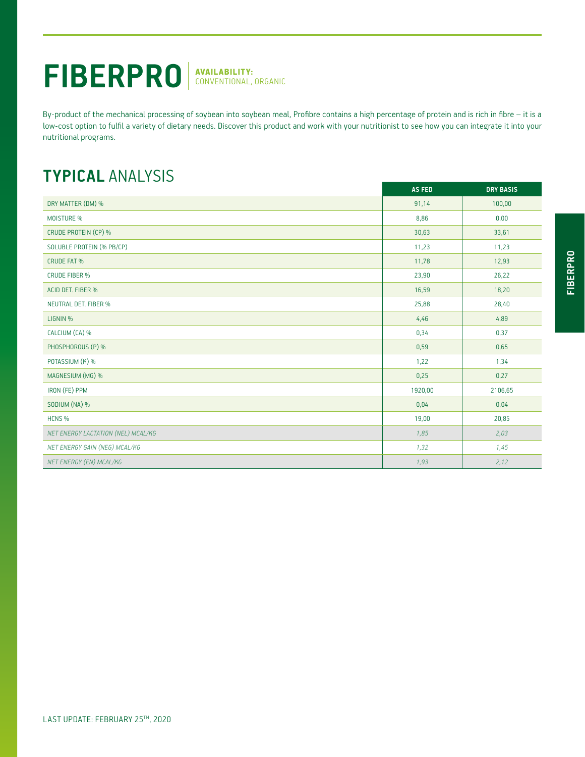## FIBERPRO<sup>NAVAILABILITY:</sup>

By-product of the mechanical processing of soybean into soybean meal, Profibre contains a high percentage of protein and is rich in fibre – it is a low-cost option to fulfil a variety of dietary needs. Discover this product and work with your nutritionist to see how you can integrate it into your nutritional programs.

## **TYPICAL** ANALYSIS

|                                    | <b>AS FED</b> | <b>DRY BASIS</b> |
|------------------------------------|---------------|------------------|
| DRY MATTER (DM) %                  | 91,14         | 100,00           |
| MOISTURE %                         | 8,86          | 0,00             |
| CRUDE PROTEIN (CP) %               | 30,63         | 33,61            |
| SOLUBLE PROTEIN (% PB/CP)          | 11,23         | 11,23            |
| <b>CRUDE FAT %</b>                 | 11,78         | 12,93            |
| <b>CRUDE FIBER %</b>               | 23,90         | 26,22            |
| ACID DET. FIBER %                  | 16,59         | 18,20            |
| <b>NEUTRAL DET. FIBER %</b>        | 25,88         | 28,40            |
| LIGNIN %                           | 4,46          | 4,89             |
| CALCIUM (CA) %                     | 0,34          | 0,37             |
| PHOSPHOROUS (P) %                  | 0,59          | 0,65             |
| POTASSIUM (K) %                    | 1,22          | 1,34             |
| MAGNESIUM (MG) %                   | 0,25          | 0,27             |
| IRON (FE) PPM                      | 1920,00       | 2106,65          |
| SODIUM (NA) %                      | 0,04          | 0,04             |
| HCNS %                             | 19,00         | 20,85            |
| NET ENERGY LACTATION (NEL) MCAL/KG | 1,85          | 2,03             |
| NET ENERGY GAIN (NEG) MCAL/KG      | 1,32          | 1,45             |
| NET ENERGY (EN) MCAL/KG            | 1,93          | 2,12             |